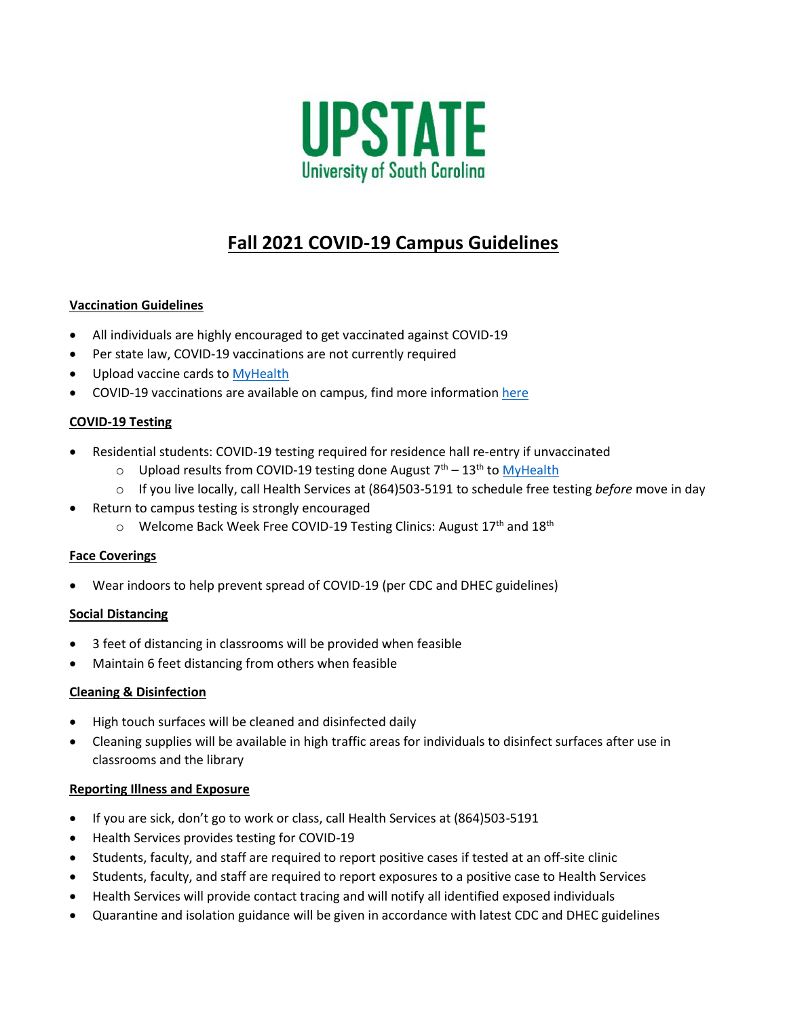

# **Fall 2021 COVID-19 Campus Guidelines**

## **Vaccination Guidelines**

- All individuals are highly encouraged to get vaccinated against COVID-19
- Per state law, COVID-19 vaccinations are not currently required
- Upload vaccine cards to [MyHealth](http://www.uscupstate.edu/myhealth)
- COVID-19 vaccinations are available on campus, find more informatio[n here](https://www.uscupstate.edu/announcements/covid-19-vaccines/)

### **COVID-19 Testing**

- Residential students: COVID-19 testing required for residence hall re-entry if unvaccinated
	- $\circ$  Upload results from COVID-19 testing done August  $7<sup>th</sup> 13<sup>th</sup>$  to [MyHealth](http://www.uscupstate.edu/myhealth)
	- o If you live locally, call Health Services at (864)503-5191 to schedule free testing *before* move in day
- Return to campus testing is strongly encouraged
	- o Welcome Back Week Free COVID-19 Testing Clinics: August 17<sup>th</sup> and 18<sup>th</sup>

#### **Face Coverings**

Wear indoors to help prevent spread of COVID-19 (per CDC and DHEC guidelines)

#### **Social Distancing**

- 3 feet of distancing in classrooms will be provided when feasible
- Maintain 6 feet distancing from others when feasible

#### **Cleaning & Disinfection**

- High touch surfaces will be cleaned and disinfected daily
- Cleaning supplies will be available in high traffic areas for individuals to disinfect surfaces after use in classrooms and the library

#### **Reporting Illness and Exposure**

- If you are sick, don't go to work or class, call Health Services at (864)503-5191
- Health Services provides testing for COVID-19
- Students, faculty, and staff are required to report positive cases if tested at an off-site clinic
- Students, faculty, and staff are required to report exposures to a positive case to Health Services
- Health Services will provide contact tracing and will notify all identified exposed individuals
- Quarantine and isolation guidance will be given in accordance with latest CDC and DHEC guidelines